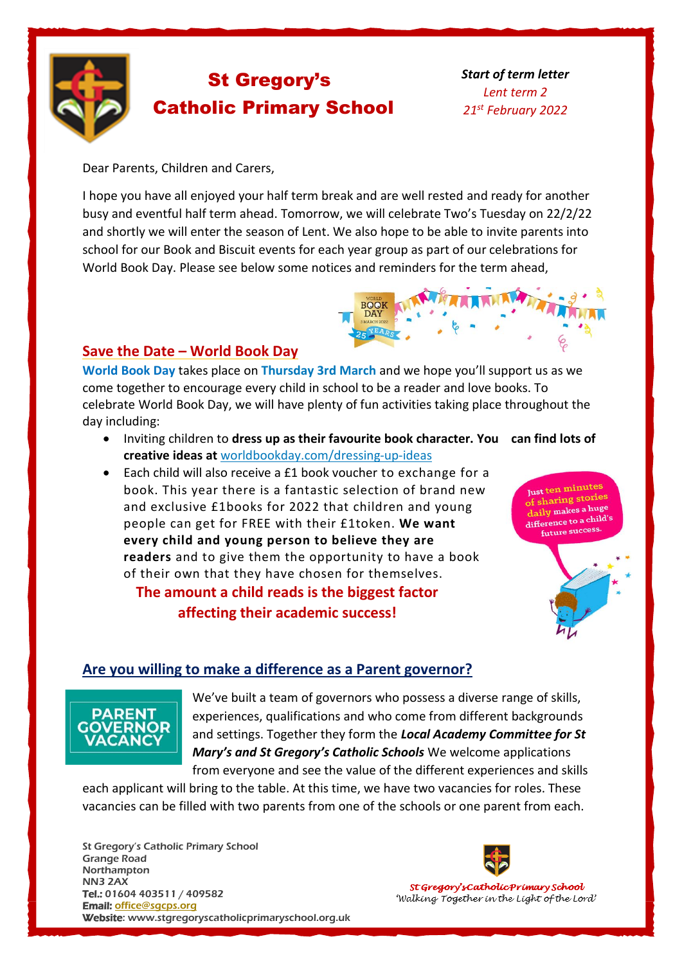

# St Gregory's Catholic Primary School

*Start of term letter Lent term 2 21st February 2022*

Dear Parents, Children and Carers,

I hope you have all enjoyed your half term break and are well rested and ready for another busy and eventful half term ahead. Tomorrow, we will celebrate Two's Tuesday on 22/2/22 and shortly we will enter the season of Lent. We also hope to be able to invite parents into school for our Book and Biscuit events for each year group as part of our celebrations for World Book Day. Please see below some notices and reminders for the term ahead,



## **Save the Date – World Book Day**

**World Book Day** takes place on **Thursday 3rd March** and we hope you'll support us as we come together to encourage every child in school to be a reader and love books. To celebrate World Book Day, we will have plenty of fun activities taking place throughout the day including:

- Inviting children to **dress up as their favourite book character. You can find lots of creative ideas at** [worldbookday.com/dressing-up-ideas](http://worldbookday.com/dressing-up-ideas)
- Each child will also receive a £1 book voucher to exchange for a book. This year there is a fantastic selection of brand new and exclusive £1books for 2022 that children and young people can get for FREE with their £1token. **We want every child and young person to believe they are readers** and to give them the opportunity to have a book of their own that they have chosen for themselves.

# **The amount a child reads is the biggest factor affecting their academic success!**

Just ten minutes of sharing stories daily makes a huge daily makes a rate future success.



## **Are you willing to make a difference as a Parent governor?**



We've built a team of governors who possess a diverse range of skills, experiences, qualifications and who come from different backgrounds and settings. Together they form the *Local Academy Committee for St Mary's and St Gregory's Catholic Schools* We welcome applications from everyone and see the value of the different experiences and skills

each applicant will bring to the table. At this time, we have two vacancies for roles. These vacancies can be filled with two parents from one of the schools or one parent from each.

St Gregory's Catholic Primary School Grange Road Northampton NN3 2AX Tel.: 01604 403511 / 409582 Email: [office@s](javascript:void(location.href=)[gcps.org](javascript:mt() Website: www.stgregoryscatholicprimaryschool.org.uk



St Gregory's Catholic Primary School 'Walking Together in the Light of the Lord'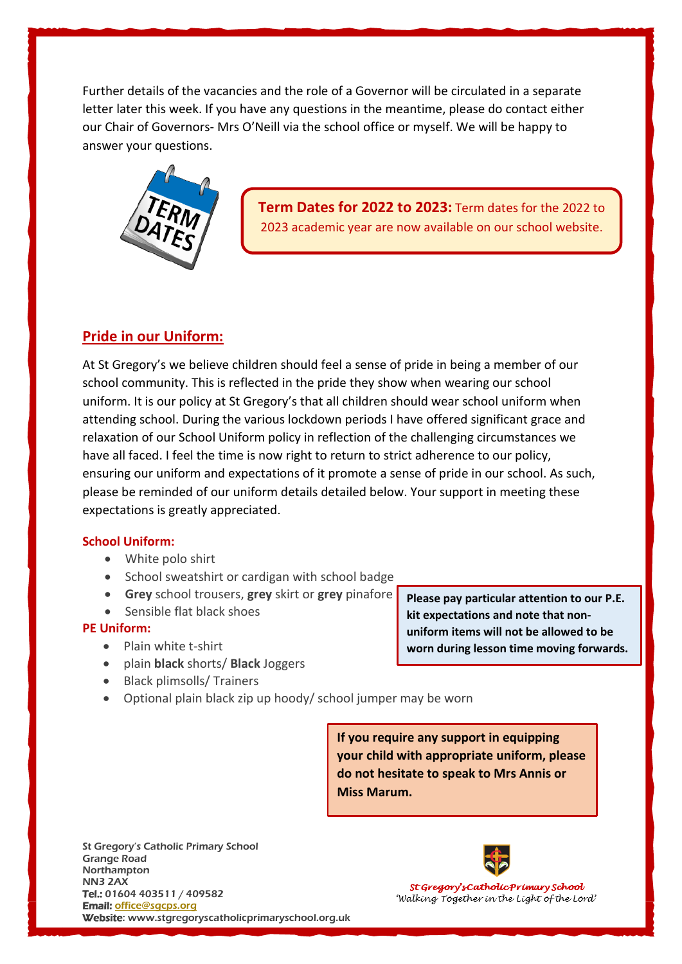Further details of the vacancies and the role of a Governor will be circulated in a separate letter later this week. If you have any questions in the meantime, please do contact either our Chair of Governors- Mrs O'Neill via the school office or myself. We will be happy to answer your questions.



## **Pride in our Uniform:**

At St Gregory's we believe children should feel a sense of pride in being a member of our school community. This is reflected in the pride they show when wearing our school uniform. It is our policy at St Gregory's that all children should wear school uniform when attending school. During the various lockdown periods I have offered significant grace and relaxation of our School Uniform policy in reflection of the challenging circumstances we have all faced. I feel the time is now right to return to strict adherence to our policy, ensuring our uniform and expectations of it promote a sense of pride in our school. As such, please be reminded of our uniform details detailed below. Your support in meeting these expectations is greatly appreciated.

### **School Uniform:**

- White polo shirt
- School sweatshirt or cardigan with school badge
- **Grey** school trousers, **grey** skirt or **grey** pinafore
- Sensible flat black shoes

### **PE Uniform:**

- Plain white t-shirt
- plain **black** shorts/ **Black** Joggers
- Black plimsolls/ Trainers
- Optional plain black zip up hoody/ school jumper may be worn

**If you require any support in equipping your child with appropriate uniform, please do not hesitate to speak to Mrs Annis or Miss Marum.**

St Gregory's Catholic Primary School Grange Road Northampton NN3 2AX Tel.: 01604 403511 / 409582 Email: [office@s](javascript:void(location.href=)[gcps.org](javascript:mt() Website: www.stgregoryscatholicprimaryschool.org.uk



St Gregory's Catholic Primary School 'Walking Together in the Light of the Lord'

**Please pay particular attention to our P.E. kit expectations and note that nonuniform items will not be allowed to be worn during lesson time moving forwards.**